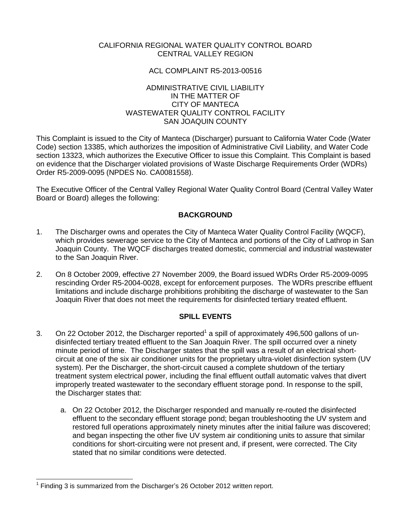# CALIFORNIA REGIONAL WATER QUALITY CONTROL BOARD CENTRAL VALLEY REGION

## ACL COMPLAINT R5-2013-00516

### ADMINISTRATIVE CIVIL LIABILITY IN THE MATTER OF CITY OF MANTECA WASTEWATER QUALITY CONTROL FACILITY SAN JOAQUIN COUNTY

This Complaint is issued to the City of Manteca (Discharger) pursuant to California Water Code (Water Code) section 13385, which authorizes the imposition of Administrative Civil Liability, and Water Code section 13323, which authorizes the Executive Officer to issue this Complaint. This Complaint is based on evidence that the Discharger violated provisions of Waste Discharge Requirements Order (WDRs) Order R5-2009-0095 (NPDES No. CA0081558).

The Executive Officer of the Central Valley Regional Water Quality Control Board (Central Valley Water Board or Board) alleges the following:

## **BACKGROUND**

- 1. The Discharger owns and operates the City of Manteca Water Quality Control Facility (WQCF), which provides sewerage service to the City of Manteca and portions of the City of Lathrop in San Joaquin County. The WQCF discharges treated domestic, commercial and industrial wastewater to the San Joaquin River.
- 2. On 8 October 2009, effective 27 November 2009, the Board issued WDRs Order R5-2009-0095 rescinding Order R5-2004-0028, except for enforcement purposes. The WDRs prescribe effluent limitations and include discharge prohibitions prohibiting the discharge of wastewater to the San Joaquin River that does not meet the requirements for disinfected tertiary treated effluent.

### **SPILL EVENTS**

- 3. On 22 October 2012, the Discharger reported<sup>1</sup> a spill of approximately 496,500 gallons of undisinfected tertiary treated effluent to the San Joaquin River. The spill occurred over a ninety minute period of time. The Discharger states that the spill was a result of an electrical shortcircuit at one of the six air conditioner units for the proprietary ultra-violet disinfection system (UV system). Per the Discharger, the short-circuit caused a complete shutdown of the tertiary treatment system electrical power, including the final effluent outfall automatic valves that divert improperly treated wastewater to the secondary effluent storage pond. In response to the spill, the Discharger states that:
	- a. On 22 October 2012, the Discharger responded and manually re-routed the disinfected effluent to the secondary effluent storage pond; began troubleshooting the UV system and restored full operations approximately ninety minutes after the initial failure was discovered; and began inspecting the other five UV system air conditioning units to assure that similar conditions for short-circuiting were not present and, if present, were corrected. The City stated that no similar conditions were detected.

l

<sup>1</sup> Finding 3 is summarized from the Discharger's 26 October 2012 written report.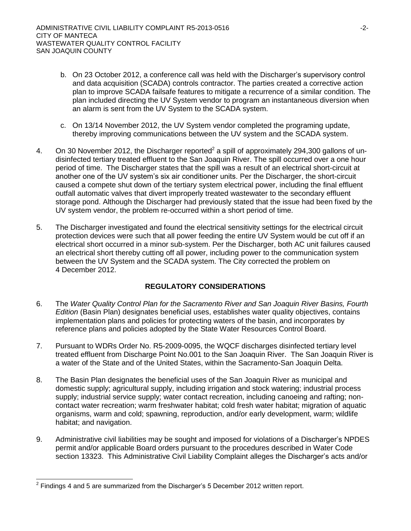- b. On 23 October 2012, a conference call was held with the Discharger's supervisory control and data acquisition (SCADA) controls contractor. The parties created a corrective action plan to improve SCADA failsafe features to mitigate a recurrence of a similar condition. The plan included directing the UV System vendor to program an instantaneous diversion when an alarm is sent from the UV System to the SCADA system.
- c. On 13/14 November 2012, the UV System vendor completed the programing update, thereby improving communications between the UV system and the SCADA system.
- 4. On 30 November 2012, the Discharger reported<sup>2</sup> a spill of approximately 294,300 gallons of undisinfected tertiary treated effluent to the San Joaquin River. The spill occurred over a one hour period of time. The Discharger states that the spill was a result of an electrical short-circuit at another one of the UV system's six air conditioner units. Per the Discharger, the short-circuit caused a compete shut down of the tertiary system electrical power, including the final effluent outfall automatic valves that divert improperly treated wastewater to the secondary effluent storage pond. Although the Discharger had previously stated that the issue had been fixed by the UV system vendor, the problem re-occurred within a short period of time.
- 5. The Discharger investigated and found the electrical sensitivity settings for the electrical circuit protection devices were such that all power feeding the entire UV System would be cut off if an electrical short occurred in a minor sub-system. Per the Discharger, both AC unit failures caused an electrical short thereby cutting off all power, including power to the communication system between the UV System and the SCADA system. The City corrected the problem on 4 December 2012.

# **REGULATORY CONSIDERATIONS**

- 6. The *Water Quality Control Plan for the Sacramento River and San Joaquin River Basins, Fourth Edition* (Basin Plan) designates beneficial uses, establishes water quality objectives, contains implementation plans and policies for protecting waters of the basin, and incorporates by reference plans and policies adopted by the State Water Resources Control Board.
- 7. Pursuant to WDRs Order No. R5-2009-0095, the WQCF discharges disinfected tertiary level treated effluent from Discharge Point No.001 to the San Joaquin River. The San Joaquin River is a water of the State and of the United States, within the Sacramento-San Joaquin Delta.
- 8. The Basin Plan designates the beneficial uses of the San Joaquin River as municipal and domestic supply; agricultural supply, including irrigation and stock watering; industrial process supply; industrial service supply; water contact recreation, including canoeing and rafting; noncontact water recreation; warm freshwater habitat; cold fresh water habitat; migration of aquatic organisms, warm and cold; spawning, reproduction, and/or early development, warm; wildlife habitat; and navigation.
- 9. Administrative civil liabilities may be sought and imposed for violations of a Discharger's NPDES permit and/or applicable Board orders pursuant to the procedures described in Water Code section 13323. This Administrative Civil Liability Complaint alleges the Discharger's acts and/or

l

 $2$  Findings 4 and 5 are summarized from the Discharger's 5 December 2012 written report.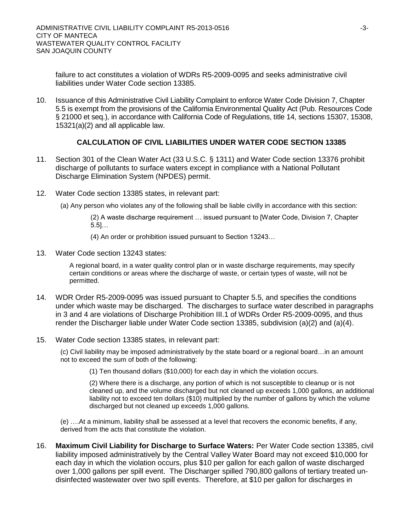failure to act constitutes a violation of WDRs R5-2009-0095 and seeks administrative civil liabilities under Water Code section 13385.

10. Issuance of this Administrative Civil Liability Complaint to enforce Water Code Division 7, Chapter 5.5 is exempt from the provisions of the California Environmental Quality Act (Pub. Resources Code § 21000 et seq.), in accordance with California Code of Regulations, title 14, sections 15307, 15308, 15321(a)(2) and all applicable law.

## **CALCULATION OF CIVIL LIABILITIES UNDER WATER CODE SECTION 13385**

- 11. Section 301 of the Clean Water Act (33 U.S.C. § 1311) and Water Code section 13376 prohibit discharge of pollutants to surface waters except in compliance with a National Pollutant Discharge Elimination System (NPDES) permit.
- 12. Water Code section 13385 states, in relevant part:
	- (a) Any person who violates any of the following shall be liable civilly in accordance with this section:

(2) A waste discharge requirement … issued pursuant to [Water Code, Division 7, Chapter 5.5]…

- (4) An order or prohibition issued pursuant to Section 13243…
- 13. Water Code section 13243 states:

A regional board, in a water quality control plan or in waste discharge requirements, may specify certain conditions or areas where the discharge of waste, or certain types of waste, will not be permitted.

- 14. WDR Order R5-2009-0095 was issued pursuant to Chapter 5.5, and specifies the conditions under which waste may be discharged. The discharges to surface water described in paragraphs in 3 and 4 are violations of Discharge Prohibition III.1 of WDRs Order R5-2009-0095, and thus render the Discharger liable under Water Code section 13385, subdivision (a)(2) and (a)(4).
- 15. Water Code section 13385 states, in relevant part:

(c) Civil liability may be imposed administratively by the state board or a regional board…in an amount not to exceed the sum of both of the following:

(1) Ten thousand dollars (\$10,000) for each day in which the violation occurs.

(2) Where there is a discharge, any portion of which is not susceptible to cleanup or is not cleaned up, and the volume discharged but not cleaned up exceeds 1,000 gallons, an additional liability not to exceed ten dollars (\$10) multiplied by the number of gallons by which the volume discharged but not cleaned up exceeds 1,000 gallons.

(e) ….At a minimum, liability shall be assessed at a level that recovers the economic benefits, if any, derived from the acts that constitute the violation.

16. **Maximum Civil Liability for Discharge to Surface Waters:** Per Water Code section 13385, civil liability imposed administratively by the Central Valley Water Board may not exceed \$10,000 for each day in which the violation occurs, plus \$10 per gallon for each gallon of waste discharged over 1,000 gallons per spill event. The Discharger spilled 790,800 gallons of tertiary treated undisinfected wastewater over two spill events. Therefore, at \$10 per gallon for discharges in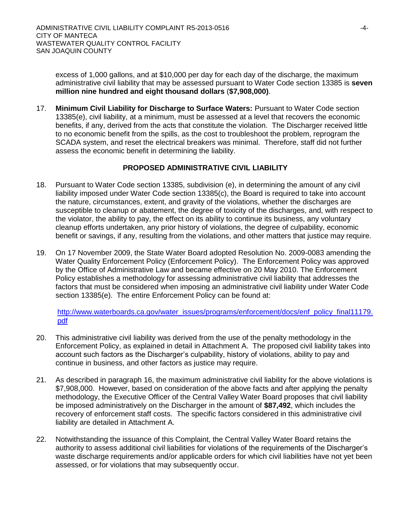excess of 1,000 gallons, and at \$10,000 per day for each day of the discharge, the maximum administrative civil liability that may be assessed pursuant to Water Code section 13385 is **seven million nine hundred and eight thousand dollars** (**\$7,908,000)**.

17. **Minimum Civil Liability for Discharge to Surface Waters:** Pursuant to Water Code section 13385(e), civil liability, at a minimum, must be assessed at a level that recovers the economic benefits, if any, derived from the acts that constitute the violation. The Discharger received little to no economic benefit from the spills, as the cost to troubleshoot the problem, reprogram the SCADA system, and reset the electrical breakers was minimal. Therefore, staff did not further assess the economic benefit in determining the liability.

# **PROPOSED ADMINISTRATIVE CIVIL LIABILITY**

- 18. Pursuant to Water Code section 13385, subdivision (e), in determining the amount of any civil liability imposed under Water Code section 13385(c), the Board is required to take into account the nature, circumstances, extent, and gravity of the violations, whether the discharges are susceptible to cleanup or abatement, the degree of toxicity of the discharges, and, with respect to the violator, the ability to pay, the effect on its ability to continue its business, any voluntary cleanup efforts undertaken, any prior history of violations, the degree of culpability, economic benefit or savings, if any, resulting from the violations, and other matters that justice may require.
- 19. On 17 November 2009, the State Water Board adopted Resolution No. 2009-0083 amending the Water Quality Enforcement Policy (Enforcement Policy). The Enforcement Policy was approved by the Office of Administrative Law and became effective on 20 May 2010. The Enforcement Policy establishes a methodology for assessing administrative civil liability that addresses the factors that must be considered when imposing an administrative civil liability under Water Code section 13385(e). The entire Enforcement Policy can be found at:

[http://www.waterboards.ca.gov/water\\_issues/programs/enforcement/docs/enf\\_policy\\_final11179.](http://www.waterboards.ca.gov/water_issues/programs/enforcement/docs/enf_policy_final11179.pdf) [pdf](http://www.waterboards.ca.gov/water_issues/programs/enforcement/docs/enf_policy_final11179.pdf)

- 20. This administrative civil liability was derived from the use of the penalty methodology in the Enforcement Policy, as explained in detail in Attachment A. The proposed civil liability takes into account such factors as the Discharger's culpability, history of violations, ability to pay and continue in business, and other factors as justice may require.
- 21. As described in paragraph 16, the maximum administrative civil liability for the above violations is \$7,908,000.However, based on consideration of the above facts and after applying the penalty methodology, the Executive Officer of the Central Valley Water Board proposes that civil liability be imposed administratively on the Discharger in the amount of **\$87,492**, which includes the recovery of enforcement staff costs. The specific factors considered in this administrative civil liability are detailed in Attachment A.
- 22. Notwithstanding the issuance of this Complaint, the Central Valley Water Board retains the authority to assess additional civil liabilities for violations of the requirements of the Discharger's waste discharge requirements and/or applicable orders for which civil liabilities have not yet been assessed, or for violations that may subsequently occur.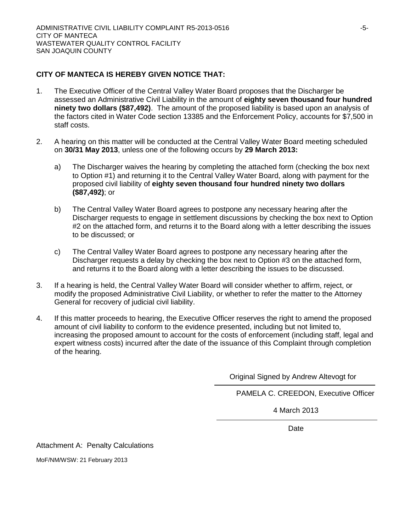# **CITY OF MANTECA IS HEREBY GIVEN NOTICE THAT:**

- 1. The Executive Officer of the Central Valley Water Board proposes that the Discharger be assessed an Administrative Civil Liability in the amount of **eighty seven thousand four hundred ninety two dollars (\$87,492)**. The amount of the proposed liability is based upon an analysis of the factors cited in Water Code section 13385 and the Enforcement Policy, accounts for \$7,500 in staff costs.
- 2. A hearing on this matter will be conducted at the Central Valley Water Board meeting scheduled on **30/31 May 2013**, unless one of the following occurs by **29 March 2013:**
	- a) The Discharger waives the hearing by completing the attached form (checking the box next to Option #1) and returning it to the Central Valley Water Board, along with payment for the proposed civil liability of **eighty seven thousand four hundred ninety two dollars (\$87,492)**; or
	- b) The Central Valley Water Board agrees to postpone any necessary hearing after the Discharger requests to engage in settlement discussions by checking the box next to Option #2 on the attached form, and returns it to the Board along with a letter describing the issues to be discussed; or
	- c) The Central Valley Water Board agrees to postpone any necessary hearing after the Discharger requests a delay by checking the box next to Option #3 on the attached form, and returns it to the Board along with a letter describing the issues to be discussed.
- 3. If a hearing is held, the Central Valley Water Board will consider whether to affirm, reject, or modify the proposed Administrative Civil Liability, or whether to refer the matter to the Attorney General for recovery of judicial civil liability.
- 4. If this matter proceeds to hearing, the Executive Officer reserves the right to amend the proposed amount of civil liability to conform to the evidence presented, including but not limited to, increasing the proposed amount to account for the costs of enforcement (including staff, legal and expert witness costs) incurred after the date of the issuance of this Complaint through completion of the hearing.

Original Signed by Andrew Altevogt for

PAMELA C. CREEDON, Executive Officer

4 March 2013

Date

Attachment A: Penalty Calculations

MoF/NM/WSW: 21 February 2013